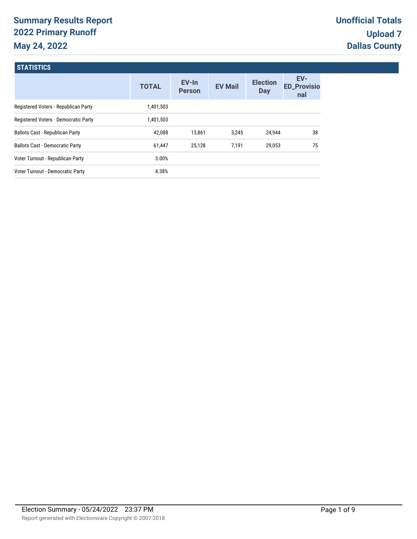# **Summary Results Report 2022 Primary Runoff May 24, 2022**

**STATICTICS** 

| <b>PUILUMIO</b>                        |              |                        |                |                               |                                  |
|----------------------------------------|--------------|------------------------|----------------|-------------------------------|----------------------------------|
|                                        | <b>TOTAL</b> | EV-In<br><b>Person</b> | <b>EV Mail</b> | <b>Election</b><br><b>Day</b> | EV-<br><b>ED_Provisio</b><br>nal |
| Registered Voters - Republican Party   | 1,401,503    |                        |                |                               |                                  |
| Registered Voters - Democratic Party   | 1,401,503    |                        |                |                               |                                  |
| <b>Ballots Cast - Republican Party</b> | 42,088       | 13,861                 | 3.245          | 24.944                        | 38                               |
| <b>Ballots Cast - Democratic Party</b> | 61,447       | 25.128                 | 7.191          | 29,053                        | 75                               |
| Voter Turnout - Republican Party       | 3.00%        |                        |                |                               |                                  |
| Voter Turnout - Democratic Party       | 4.38%        |                        |                |                               |                                  |
|                                        |              |                        |                |                               |                                  |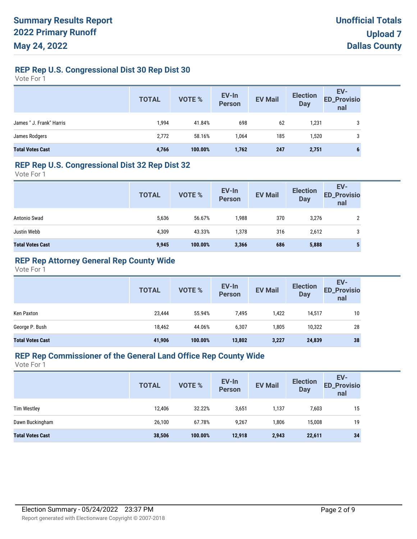### **REP Rep U.S. Congressional Dist 30 Rep Dist 30**

Vote For 1

|                          | <b>TOTAL</b> | VOTE %  | EV-In<br>Person | <b>EV Mail</b> | <b>Election</b><br>Day | EV-<br>ED_Provisio<br>nal |
|--------------------------|--------------|---------|-----------------|----------------|------------------------|---------------------------|
| James " J. Frank" Harris | 1,994        | 41.84%  | 698             | 62             | 1,231                  | 3                         |
| James Rodgers            | 2,772        | 58.16%  | 1,064           | 185            | 1,520                  | 3                         |
| <b>Total Votes Cast</b>  | 4,766        | 100.00% | 1,762           | 247            | 2,751                  | 6                         |

#### **REP Rep U.S. Congressional Dist 32 Rep Dist 32**

Vote For 1

|                         | <b>TOTAL</b> | VOTE %  | EV-In<br>Person | <b>EV Mail</b> | <b>Election</b><br><b>Day</b> | EV-<br><b>ED_Provisio</b><br>nal |
|-------------------------|--------------|---------|-----------------|----------------|-------------------------------|----------------------------------|
| Antonio Swad            | 5,636        | 56.67%  | 1,988           | 370            | 3,276                         |                                  |
| Justin Webb             | 4,309        | 43.33%  | 1,378           | 316            | 2,612                         | 3                                |
| <b>Total Votes Cast</b> | 9,945        | 100.00% | 3,366           | 686            | 5,888                         |                                  |

### **REP Rep Attorney General Rep County Wide**

Vote For 1

|                         | <b>TOTAL</b> | VOTE %  | EV-In<br><b>Person</b> | <b>EV Mail</b> | <b>Election</b><br><b>Day</b> | EV-<br><b>ED_Provisio</b><br>nal |
|-------------------------|--------------|---------|------------------------|----------------|-------------------------------|----------------------------------|
| Ken Paxton              | 23,444       | 55.94%  | 7,495                  | 1,422          | 14,517                        | 10                               |
| George P. Bush          | 18,462       | 44.06%  | 6,307                  | 1.805          | 10,322                        | 28                               |
| <b>Total Votes Cast</b> | 41,906       | 100.00% | 13,802                 | 3,227          | 24,839                        | 38                               |

# **REP Rep Commissioner of the General Land Office Rep County Wide**

|                         | <b>TOTAL</b> | <b>VOTE %</b> | EV-In<br><b>Person</b> | <b>EV Mail</b> | <b>Election</b><br><b>Day</b> | EV-<br><b>ED_Provisio</b><br>nal |
|-------------------------|--------------|---------------|------------------------|----------------|-------------------------------|----------------------------------|
| <b>Tim Westley</b>      | 12,406       | 32.22%        | 3,651                  | 1,137          | 7,603                         | 15                               |
| Dawn Buckingham         | 26,100       | 67.78%        | 9,267                  | 1,806          | 15,008                        | 19                               |
| <b>Total Votes Cast</b> | 38,506       | 100.00%       | 12,918                 | 2,943          | 22,611                        | 34                               |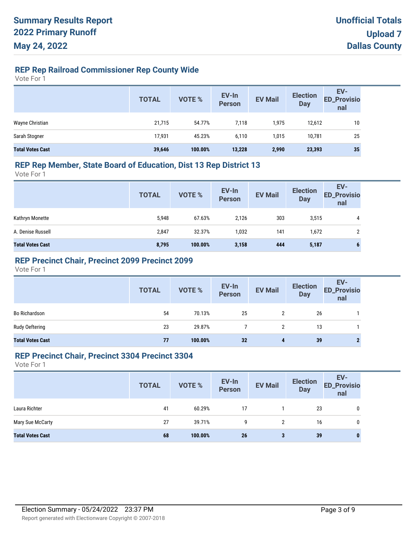# **REP Rep Railroad Commissioner Rep County Wide**

Vote For 1

|                         | <b>TOTAL</b> | VOTE %  | EV-In<br>Person | <b>EV Mail</b> | <b>Election</b><br><b>Day</b> | EV-<br>ED_Provisio<br>nal |
|-------------------------|--------------|---------|-----------------|----------------|-------------------------------|---------------------------|
| Wayne Christian         | 21,715       | 54.77%  | 7,118           | 1,975          | 12,612                        | 10                        |
| Sarah Stogner           | 17,931       | 45.23%  | 6,110           | 1,015          | 10.781                        | 25                        |
| <b>Total Votes Cast</b> | 39,646       | 100.00% | 13,228          | 2,990          | 23,393                        | 35                        |

### **REP Rep Member, State Board of Education, Dist 13 Rep District 13**

Vote For 1

|                         | <b>TOTAL</b> | VOTE %  | EV-In<br>Person | <b>EV Mail</b> | <b>Election</b><br><b>Day</b> | EV-<br><b>ED_Provisio</b><br>nal |
|-------------------------|--------------|---------|-----------------|----------------|-------------------------------|----------------------------------|
| Kathryn Monette         | 5,948        | 67.63%  | 2,126           | 303            | 3,515                         | 4                                |
| A. Denise Russell       | 2,847        | 32.37%  | 1,032           | 141            | 1,672                         |                                  |
| <b>Total Votes Cast</b> | 8,795        | 100.00% | 3,158           | 444            | 5,187                         | o                                |

### **REP Precinct Chair, Precinct 2099 Precinct 2099**

Vote For 1

|                         | <b>TOTAL</b> | VOTE %  | EV-In<br>Person | <b>EV Mail</b>       | <b>Election</b><br>Day | EV-<br>ED_Provisio<br>nal |
|-------------------------|--------------|---------|-----------------|----------------------|------------------------|---------------------------|
| <b>Bo Richardson</b>    | 54           | 70.13%  | 25              | $\mathbf{2}^{\circ}$ | 26                     |                           |
| Rudy Oeftering          | 23           | 29.87%  |                 |                      | 13                     |                           |
| <b>Total Votes Cast</b> | 77           | 100.00% | 32              | 4                    | 39                     |                           |

#### **REP Precinct Chair, Precinct 3304 Precinct 3304**

|                         | <b>TOTAL</b> | <b>VOTE %</b> | EV-In<br>Person | <b>EV Mail</b> | <b>Election</b><br><b>Day</b> | EV-<br><b>ED_Provisio</b><br>nal |
|-------------------------|--------------|---------------|-----------------|----------------|-------------------------------|----------------------------------|
| Laura Richter           | 41           | 60.29%        | 17              |                | 23                            | 0                                |
| Mary Sue McCarty        | 27           | 39.71%        | 9               | 2              | 16                            | 0                                |
| <b>Total Votes Cast</b> | 68           | 100.00%       | 26              | 3              | 39                            | o                                |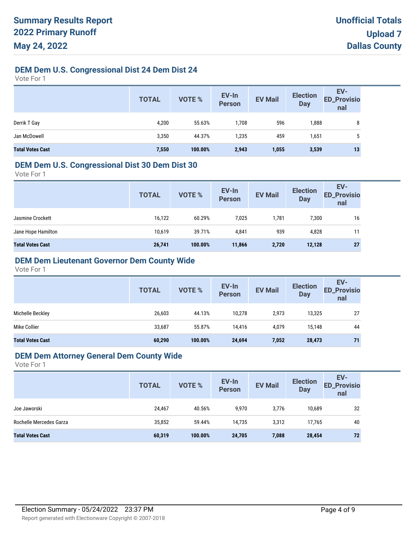### **DEM Dem U.S. Congressional Dist 24 Dem Dist 24**

Vote For 1

|                         | <b>TOTAL</b> | VOTE %  | EV-In<br>Person | <b>EV Mail</b> | <b>Election</b><br><b>Day</b> | EV-<br><b>ED_Provisio</b><br>nal |
|-------------------------|--------------|---------|-----------------|----------------|-------------------------------|----------------------------------|
| Derrik T Gay            | 4,200        | 55.63%  | 1,708           | 596            | 1,888                         | 8                                |
| Jan McDowell            | 3,350        | 44.37%  | 1,235           | 459            | 1,651                         | 5                                |
| <b>Total Votes Cast</b> | 7,550        | 100.00% | 2,943           | 1,055          | 3,539                         | 13                               |

#### **DEM Dem U.S. Congressional Dist 30 Dem Dist 30**

Vote For 1

|                         | <b>TOTAL</b> | <b>VOTE %</b> | EV-In<br><b>Person</b> | <b>EV Mail</b> | <b>Election</b><br><b>Day</b> | EV-<br><b>ED_Provisio</b><br>nal |
|-------------------------|--------------|---------------|------------------------|----------------|-------------------------------|----------------------------------|
| Jasmine Crockett        | 16,122       | 60.29%        | 7,025                  | 1,781          | 7,300                         | 16                               |
| Jane Hope Hamilton      | 10,619       | 39.71%        | 4,841                  | 939            | 4,828                         | 11                               |
| <b>Total Votes Cast</b> | 26,741       | 100.00%       | 11,866                 | 2,720          | 12,128                        | 27                               |
|                         |              |               |                        |                |                               |                                  |

# **DEM Dem Lieutenant Governor Dem County Wide**

Vote For 1

|                         | <b>TOTAL</b> | VOTE %  | EV-In<br><b>Person</b> | <b>EV Mail</b> | <b>Election</b><br><b>Day</b> | EV-<br><b>ED_Provisio</b><br>nal |
|-------------------------|--------------|---------|------------------------|----------------|-------------------------------|----------------------------------|
| Michelle Beckley        | 26,603       | 44.13%  | 10,278                 | 2,973          | 13,325                        | 27                               |
| Mike Collier            | 33,687       | 55.87%  | 14.416                 | 4,079          | 15,148                        | 44                               |
| <b>Total Votes Cast</b> | 60,290       | 100.00% | 24,694                 | 7,052          | 28,473                        | 71                               |

#### **DEM Dem Attorney General Dem County Wide**

|                         | <b>TOTAL</b> | VOTE %  | EV-In<br>Person | <b>EV Mail</b> | <b>Election</b><br><b>Day</b> | EV-<br><b>ED_Provisio</b><br>nal |
|-------------------------|--------------|---------|-----------------|----------------|-------------------------------|----------------------------------|
| Joe Jaworski            | 24,467       | 40.56%  | 9,970           | 3,776          | 10,689                        | 32                               |
| Rochelle Mercedes Garza | 35,852       | 59.44%  | 14.735          | 3,312          | 17.765                        | 40                               |
| <b>Total Votes Cast</b> | 60,319       | 100.00% | 24,705          | 7,088          | 28,454                        | 72                               |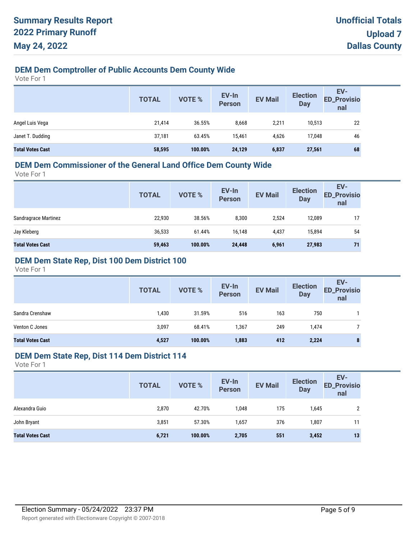# **DEM Dem Comptroller of Public Accounts Dem County Wide**

Vote For 1

|                         | <b>TOTAL</b> | <b>VOTE %</b> | EV-In<br><b>Person</b> | <b>EV Mail</b> | <b>Election</b><br><b>Day</b> | EV-<br>ED_Provisio<br>nal |
|-------------------------|--------------|---------------|------------------------|----------------|-------------------------------|---------------------------|
| Angel Luis Vega         | 21,414       | 36.55%        | 8,668                  | 2,211          | 10,513                        | 22                        |
| Janet T. Dudding        | 37,181       | 63.45%        | 15,461                 | 4,626          | 17,048                        | 46                        |
| <b>Total Votes Cast</b> | 58,595       | 100.00%       | 24,129                 | 6,837          | 27,561                        | 68                        |

# **DEM Dem Commissioner of the General Land Office Dem County Wide**

Vote For 1

| <b>TOTAL</b> | VOTE %  | EV-In<br><b>Person</b> | <b>EV Mail</b> | <b>Election</b><br><b>Day</b> | EV-<br><b>ED_Provisio</b><br>nal |
|--------------|---------|------------------------|----------------|-------------------------------|----------------------------------|
| 22,930       | 38.56%  | 8,300                  | 2,524          | 12,089                        | 17                               |
| 36,533       | 61.44%  | 16,148                 | 4,437          | 15,894                        | 54                               |
| 59,463       | 100.00% | 24,448                 | 6,961          | 27,983                        | 71                               |
|              |         |                        |                |                               |                                  |

### **DEM Dem State Rep, Dist 100 Dem District 100**

Vote For 1

|                         | <b>TOTAL</b> | <b>VOTE %</b> | EV-In<br><b>Person</b> | <b>EV Mail</b> | <b>Election</b><br><b>Day</b> | EV-<br><b>ED_Provisio</b><br>nal |
|-------------------------|--------------|---------------|------------------------|----------------|-------------------------------|----------------------------------|
| Sandra Crenshaw         | 1,430        | 31.59%        | 516                    | 163            | 750                           |                                  |
| Venton C Jones          | 3,097        | 68.41%        | 1,367                  | 249            | 1,474                         |                                  |
| <b>Total Votes Cast</b> | 4,527        | 100.00%       | 1,883                  | 412            | 2,224                         | $\bullet$<br>۰                   |

#### **DEM Dem State Rep, Dist 114 Dem District 114**

|                         | <b>TOTAL</b> | VOTE %  | EV-In<br>Person | <b>EV Mail</b> | <b>Election</b><br><b>Day</b> | EV-<br><b>ED_Provisio</b><br>nal |
|-------------------------|--------------|---------|-----------------|----------------|-------------------------------|----------------------------------|
| Alexandra Guio          | 2,870        | 42.70%  | 1,048           | 175            | 1,645                         | າ                                |
| John Bryant             | 3,851        | 57.30%  | 1,657           | 376            | 1,807                         | 11                               |
| <b>Total Votes Cast</b> | 6,721        | 100.00% | 2,705           | 551            | 3,452                         | 13                               |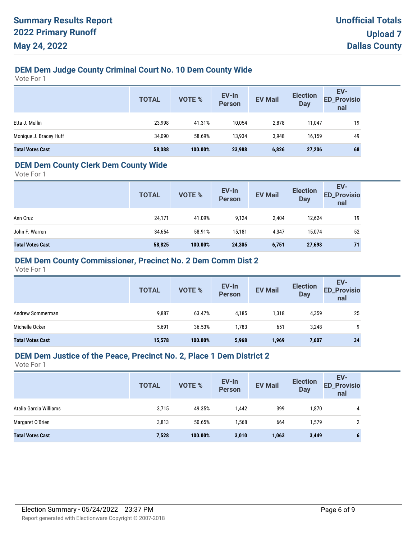# **DEM Dem Judge County Criminal Court No. 10 Dem County Wide**

Vote For 1

|                         | <b>TOTAL</b> | <b>VOTE %</b> | EV-In<br><b>Person</b> | <b>EV Mail</b> | <b>Election</b><br><b>Day</b> | EV-<br><b>ED_Provisio</b><br>nal |
|-------------------------|--------------|---------------|------------------------|----------------|-------------------------------|----------------------------------|
| Etta J. Mullin          | 23,998       | 41.31%        | 10,054                 | 2,878          | 11,047                        | 19                               |
| Monique J. Bracey Huff  | 34,090       | 58.69%        | 13,934                 | 3.948          | 16,159                        | 49                               |
| <b>Total Votes Cast</b> | 58,088       | 100.00%       | 23,988                 | 6,826          | 27,206                        | 68                               |

### **DEM Dem County Clerk Dem County Wide**

Vote For 1

|                         | <b>TOTAL</b> | <b>VOTE %</b> | EV-In<br><b>Person</b> | <b>EV Mail</b> | <b>Election</b><br><b>Day</b> | EV-<br><b>ED_Provisio</b><br>nal |
|-------------------------|--------------|---------------|------------------------|----------------|-------------------------------|----------------------------------|
| Ann Cruz                | 24,171       | 41.09%        | 9,124                  | 2,404          | 12,624                        | 19                               |
| John F. Warren          | 34,654       | 58.91%        | 15,181                 | 4,347          | 15,074                        | 52                               |
| <b>Total Votes Cast</b> | 58,825       | 100.00%       | 24,305                 | 6,751          | 27,698                        | 71                               |

### **DEM Dem County Commissioner, Precinct No. 2 Dem Comm Dist 2**

Vote For 1

|                         | <b>TOTAL</b> | <b>VOTE %</b> | EV-In<br><b>Person</b> | <b>EV Mail</b> | <b>Election</b><br><b>Day</b> | EV-<br><b>ED_Provisio</b><br>nal |
|-------------------------|--------------|---------------|------------------------|----------------|-------------------------------|----------------------------------|
| Andrew Sommerman        | 9,887        | 63.47%        | 4,185                  | 1,318          | 4,359                         | 25                               |
| Michelle Ocker          | 5,691        | 36.53%        | 1,783                  | 651            | 3,248                         | 9                                |
| <b>Total Votes Cast</b> | 15,578       | 100.00%       | 5,968                  | 1,969          | 7,607                         | 34                               |

#### **DEM Dem Justice of the Peace, Precinct No. 2, Place 1 Dem District 2**

|                         | <b>TOTAL</b> | <b>VOTE %</b> | EV-In<br><b>Person</b> | <b>EV Mail</b> | <b>Election</b><br><b>Day</b> | EV-<br><b>ED_Provisio</b><br>nal |
|-------------------------|--------------|---------------|------------------------|----------------|-------------------------------|----------------------------------|
| Atalia Garcia Williams  | 3,715        | 49.35%        | 1,442                  | 399            | 1,870                         | 4                                |
| Margaret O'Brien        | 3,813        | 50.65%        | 1,568                  | 664            | 1,579                         |                                  |
| <b>Total Votes Cast</b> | 7,528        | 100.00%       | 3,010                  | 1,063          | 3,449                         |                                  |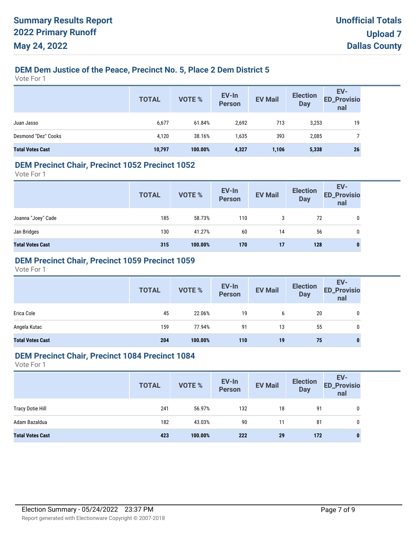# **DEM Dem Justice of the Peace, Precinct No. 5, Place 2 Dem District 5**

Vote For 1

|                         | <b>TOTAL</b> | <b>VOTE %</b> | EV-In<br>Person | <b>EV Mail</b> | <b>Election</b><br><b>Day</b> | EV-<br>ED_Provisio<br>nal |
|-------------------------|--------------|---------------|-----------------|----------------|-------------------------------|---------------------------|
| Juan Jasso              | 6,677        | 61.84%        | 2,692           | 713            | 3,253                         | 19                        |
| Desmond "Dez" Cooks     | 4,120        | 38.16%        | 1,635           | 393            | 2,085                         |                           |
| <b>Total Votes Cast</b> | 10,797       | 100.00%       | 4,327           | 1,106          | 5,338                         | 26                        |

#### **DEM Precinct Chair, Precinct 1052 Precinct 1052**

Vote For 1

|                         | <b>TOTAL</b> | VOTE %  | EV-In<br>Person | <b>EV Mail</b> | <b>Election</b><br><b>Day</b> | EV-<br>ED_Provisio<br>nal |
|-------------------------|--------------|---------|-----------------|----------------|-------------------------------|---------------------------|
| Joanna "Joey" Cade      | 185          | 58.73%  | 110             | 3              | 72                            |                           |
| Jan Bridges             | 130          | 41.27%  | 60              | 14             | 56                            | 0                         |
| <b>Total Votes Cast</b> | 315          | 100.00% | 170             | 17             | 128                           | 0                         |

### **DEM Precinct Chair, Precinct 1059 Precinct 1059**

Vote For 1

|                         | <b>TOTAL</b> | VOTE %  | EV-In<br>Person | <b>EV Mail</b> | <b>Election</b><br><b>Day</b> | EV-<br>ED_Provisio<br>nal |
|-------------------------|--------------|---------|-----------------|----------------|-------------------------------|---------------------------|
| Erica Cole              | 45           | 22.06%  | 19              | b              | 20                            | 0                         |
| Angela Kutac            | 159          | 77.94%  | 91              | 13             | 55                            | 0                         |
| <b>Total Votes Cast</b> | 204          | 100.00% | 110             | 19             | 75                            | 0                         |

#### **DEM Precinct Chair, Precinct 1084 Precinct 1084**

|                         | <b>TOTAL</b> | <b>VOTE %</b> | EV-In<br>Person | <b>EV Mail</b> | <b>Election</b><br>Day | EV-<br><b>ED_Provisio</b><br>nal |
|-------------------------|--------------|---------------|-----------------|----------------|------------------------|----------------------------------|
| <b>Tracy Dotie Hill</b> | 241          | 56.97%        | 132             | 18             | 91                     | 0                                |
| Adam Bazaldua           | 182          | 43.03%        | 90              | 11             | 81                     | 0                                |
| <b>Total Votes Cast</b> | 423          | 100.00%       | 222             | 29             | 172                    | 0                                |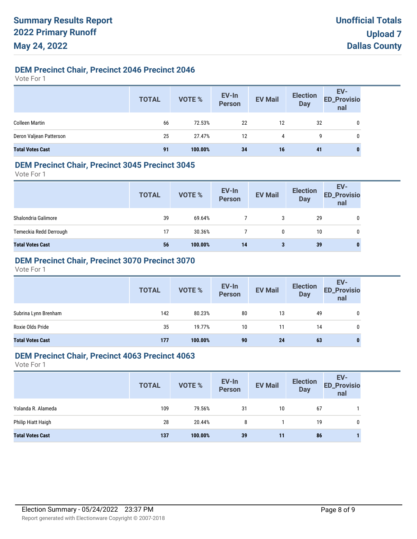### **DEM Precinct Chair, Precinct 2046 Precinct 2046**

Vote For 1

|                         | <b>TOTAL</b> | VOTE %  | EV-In<br>Person | <b>EV Mail</b> | <b>Election</b><br><b>Day</b> | EV-<br>ED_Provisio<br>nal |
|-------------------------|--------------|---------|-----------------|----------------|-------------------------------|---------------------------|
| <b>Colleen Martin</b>   | 66           | 72.53%  | 22              | 12             | 32                            | 0                         |
| Deron Valjean Patterson | 25           | 27.47%  | 12              | 4              | 9                             | 0                         |
| <b>Total Votes Cast</b> | 91           | 100.00% | 34              | 16             | 41                            |                           |

### **DEM Precinct Chair, Precinct 3045 Precinct 3045**

Vote For 1

|                         | <b>TOTAL</b> | VOTE %  | EV-In<br>Person | <b>EV Mail</b> | <b>Election</b><br><b>Day</b> | EV-<br><b>ED_Provisio</b><br>nal |
|-------------------------|--------------|---------|-----------------|----------------|-------------------------------|----------------------------------|
| Shalondria Galimore     | 39           | 69.64%  |                 | 3              | 29                            | 0                                |
| Temeckia Redd Derrough  | 17           | 30.36%  |                 | 0              | 10                            | 0                                |
| <b>Total Votes Cast</b> | 56           | 100.00% | 14              | 3              | 39                            | $\bf{0}$                         |

# **DEM Precinct Chair, Precinct 3070 Precinct 3070**

Vote For 1

|                         | <b>TOTAL</b> | VOTE %  | EV-In<br>Person | <b>EV Mail</b> | <b>Election</b><br><b>Day</b> | EV-<br>ED_Provisio<br>nal |
|-------------------------|--------------|---------|-----------------|----------------|-------------------------------|---------------------------|
| Subrina Lynn Brenham    | 142          | 80.23%  | 80              | 13             | 49                            | 0                         |
| Roxie Olds Pride        | 35           | 19.77%  | 10              | 11             | 14                            | 0                         |
| <b>Total Votes Cast</b> | 177          | 100.00% | 90              | 24             | 63                            | 0                         |

### **DEM Precinct Chair, Precinct 4063 Precinct 4063**

|                         | <b>TOTAL</b> | VOTE %  | EV-In<br>Person | <b>EV Mail</b> | <b>Election</b><br><b>Day</b> | EV-<br><b>ED_Provisio</b><br>nal |
|-------------------------|--------------|---------|-----------------|----------------|-------------------------------|----------------------------------|
| Yolanda R. Alameda      | 109          | 79.56%  | 31              | 10             | 67                            |                                  |
| Philip Hiatt Haigh      | 28           | 20.44%  | 8               |                | 19                            | 0                                |
| <b>Total Votes Cast</b> | 137          | 100.00% | 39              | 11             | 86                            |                                  |